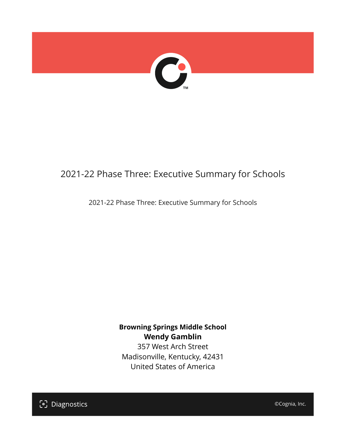

## 2021-22 Phase Three: Executive Summary for Schools

2021-22 Phase Three: Executive Summary for Schools

**Browning Springs Middle School Wendy Gamblin** 357 West Arch Street Madisonville, Kentucky, 42431

United States of America

[၁] Diagnostics

©Cognia, Inc.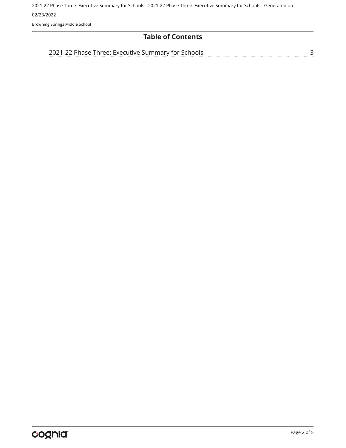2021-22 Phase Three: Executive Summary for Schools - 2021-22 Phase Three: Executive Summary for Schools - Generated on 02/23/2022

Browning Springs Middle School

#### **Table of Contents**

[2021-22 Phase Three: Executive Summary for Schools](#page-2-0)

[3](#page-2-0)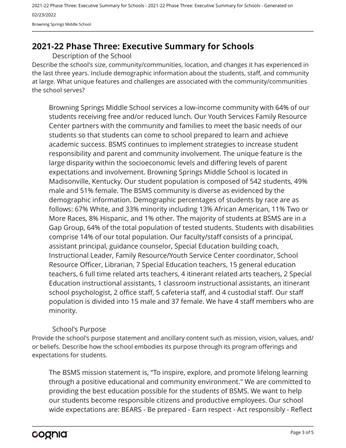2021-22 Phase Three: Executive Summary for Schools - 2021-22 Phase Three: Executive Summary for Schools - Generated on 02/23/2022 Browning Springs Middle School

### <span id="page-2-0"></span>**2021-22 Phase Three: Executive Summary for Schools**

Description of the School

Describe the school's size, community/communities, location, and changes it has experienced in the last three years. Include demographic information about the students, staff, and community at large. What unique features and challenges are associated with the community/communities the school serves?

Browning Springs Middle School services a low-income community with 64% of our students receiving free and/or reduced lunch. Our Youth Services Family Resource Center partners with the community and families to meet the basic needs of our students so that students can come to school prepared to learn and achieve academic success. BSMS continues to implement strategies to increase student responsibility and parent and community involvement. The unique feature is the large disparity within the socioeconomic levels and differing levels of parent expectations and involvement. Browning Springs Middle School is located in Madisonville, Kentucky. Our student population is composed of 542 students, 49% male and 51% female. The BSMS community is diverse as evidenced by the demographic information. Demographic percentages of students by race are as follows: 67% White, and 33% minority including 13% African American, 11% Two or More Races, 8% Hispanic, and 1% other. The majority of students at BSMS are in a Gap Group, 64% of the total population of tested students. Students with disabilities comprise 14% of our total population. Our faculty/staff consists of a principal, assistant principal, guidance counselor, Special Education building coach, Instructional Leader, Family Resource/Youth Service Center coordinator, School Resource Officer, Librarian, 7 Special Education teachers, 15 general education teachers, 6 full time related arts teachers, 4 itinerant related arts teachers, 2 Special Education instructional assistants, 1 classroom instructional assistants, an itinerant school psychologist, 2 office staff, 5 cafeteria staff, and 4 custodial staff. Our staff population is divided into 15 male and 37 female. We have 4 staff members who are minority.

#### School's Purpose

Provide the school's purpose statement and ancillary content such as mission, vision, values, and/ or beliefs. Describe how the school embodies its purpose through its program offerings and expectations for students.

The BSMS mission statement is, "To inspire, explore, and promote lifelong learning through a positive educational and community environment." We are committed to providing the best education possible for the students of BSMS. We want to help our students become responsible citizens and productive employees. Our school wide expectations are: BEARS - Be prepared - Earn respect - Act responsibly - Reflect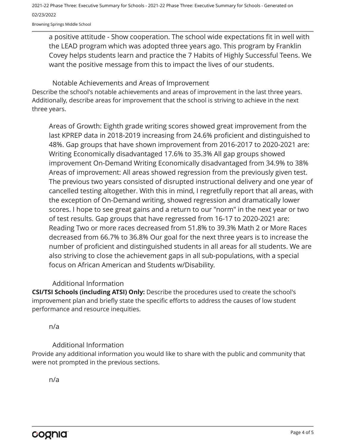2021-22 Phase Three: Executive Summary for Schools - 2021-22 Phase Three: Executive Summary for Schools - Generated on 02/23/2022

Browning Springs Middle School

a positive attitude - Show cooperation. The school wide expectations fit in well with the LEAD program which was adopted three years ago. This program by Franklin Covey helps students learn and practice the 7 Habits of Highly Successful Teens. We want the positive message from this to impact the lives of our students.

Describe the school's notable achievements and areas of improvement in the last three years. Additionally, describe areas for improvement that the school is striving to achieve in the next three years. Notable Achievements and Areas of Improvement

Areas of Growth: Eighth grade writing scores showed great improvement from the last KPREP data in 2018-2019 increasing from 24.6% proficient and distinguished to 48%. Gap groups that have shown improvement from 2016-2017 to 2020-2021 are: Writing Economically disadvantaged 17.6% to 35.3% All gap groups showed improvement On-Demand Writing Economically disadvantaged from 34.9% to 38% Areas of improvement: All areas showed regression from the previously given test. The previous two years consisted of disrupted instructional delivery and one year of cancelled testing altogether. With this in mind, I regretfully report that all areas, with the exception of On-Demand writing, showed regression and dramatically lower scores. I hope to see great gains and a return to our "norm" in the next year or two of test results. Gap groups that have regressed from 16-17 to 2020-2021 are: Reading Two or more races decreased from 51.8% to 39.3% Math 2 or More Races decreased from 66.7% to 36.8% Our goal for the next three years is to increase the number of proficient and distinguished students in all areas for all students. We are also striving to close the achievement gaps in all sub-populations, with a special focus on African American and Students w/Disability.

#### Additional Information

**CSI/TSI Schools (including ATSI) Only:** Describe the procedures used to create the school's improvement plan and briefly state the specific efforts to address the causes of low student performance and resource inequities.

n/a

#### Additional Information

Provide any additional information you would like to share with the public and community that were not prompted in the previous sections.

n/a